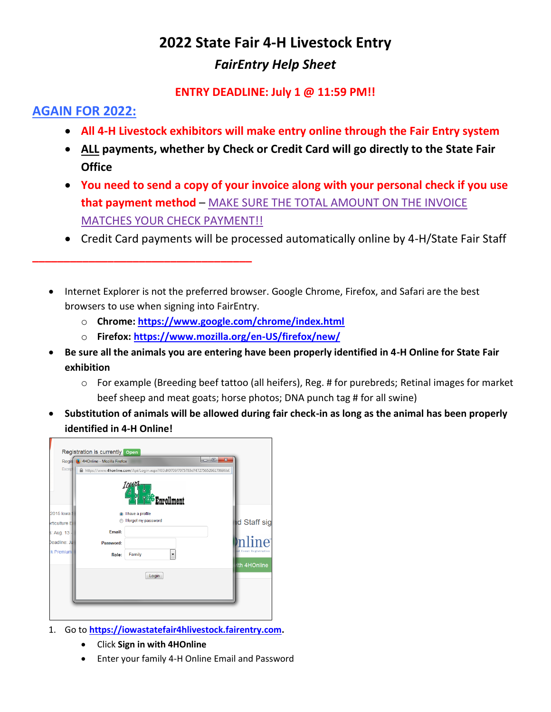# **2022 State Fair 4-H Livestock Entry** *FairEntry Help Sheet*

## **ENTRY DEADLINE: July 1 @ 11:59 PM!!**

## **AGAIN FOR 2022:**

- **All 4-H Livestock exhibitors will make entry online through the Fair Entry system**
- **ALL payments, whether by Check or Credit Card will go directly to the State Fair Office**
- **You need to send a copy of your invoice along with your personal check if you use that payment method** – MAKE SURE THE TOTAL AMOUNT ON THE INVOICE MATCHES YOUR CHECK PAYMENT!!
- Credit Card payments will be processed automatically online by 4-H/State Fair Staff
- Internet Explorer is not the preferred browser. Google Chrome, Firefox, and Safari are the best browsers to use when signing into FairEntry.
	- o **Chrome:<https://www.google.com/chrome/index.html>**
	- o **Firefox:<https://www.mozilla.org/en-US/firefox/new/>**
- **Be sure all the animals you are entering have been properly identified in 4-H Online for State Fair exhibition**
	- $\circ$  For example (Breeding beef tattoo (all heifers), Reg. # for purebreds; Retinal images for market beef sheep and meat goats; horse photos; DNA punch tag # for all swine)
- **Substitution of animals will be allowed during fair check-in as long as the animal has been properly identified in 4-H Online!**



**\_\_\_\_\_\_\_\_\_\_\_\_\_\_\_\_\_\_\_\_\_\_\_\_\_\_\_\_\_\_\_\_\_\_\_**

- 1. Go to **[https://iowastatefair4hlivestock.fairentry.com.](https://iowastatefair4hlivestock.fairentry.com/)**
	- Click **Sign in with 4HOnline**
	- Enter your family 4-H Online Email and Password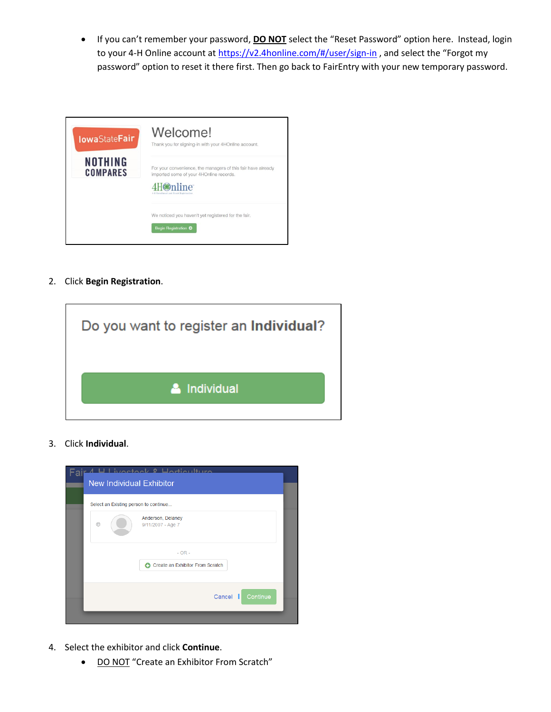• If you can't remember your password, **DO NOT** select the "Reset Password" option here. Instead, login to your 4-H Online account a[t https://v2.4honline.com/#/user/sign-in](https://v2.4honline.com/#/user/sign-in), and select the "Forgot my password" option to reset it there first. Then go back to FairEntry with your new temporary password.

| <b>IowaStateFair</b>       | Welcome!<br>Thank you for signing-in with your 4HOnline account.                                                                                          |
|----------------------------|-----------------------------------------------------------------------------------------------------------------------------------------------------------|
| NOTHING<br><b>COMPARES</b> | For your convenience, the managers of this fair have already<br>imported some of your 4HOnline records.<br>mline<br>4-H Earolinest and Event Registration |
|                            | We noticed you haven't yet registered for the fair.<br>Begin Registration O                                                                               |

2. Click **Begin Registration**.



3. Click **Individual**.

| Fair 1 H Livectork & Hertieulture<br><b>New Individual Exhibitor</b> |  |
|----------------------------------------------------------------------|--|
|                                                                      |  |
| Select an Existing person to continue                                |  |
| Anderson, Delaney<br>9/11/2007 - Age 7                               |  |
| $- OR -$<br>Create an Exhibitor From Scratch                         |  |
| Cancel<br>Continue<br>п                                              |  |
|                                                                      |  |

- 4. Select the exhibitor and click **Continue**.
	- DO NOT "Create an Exhibitor From Scratch"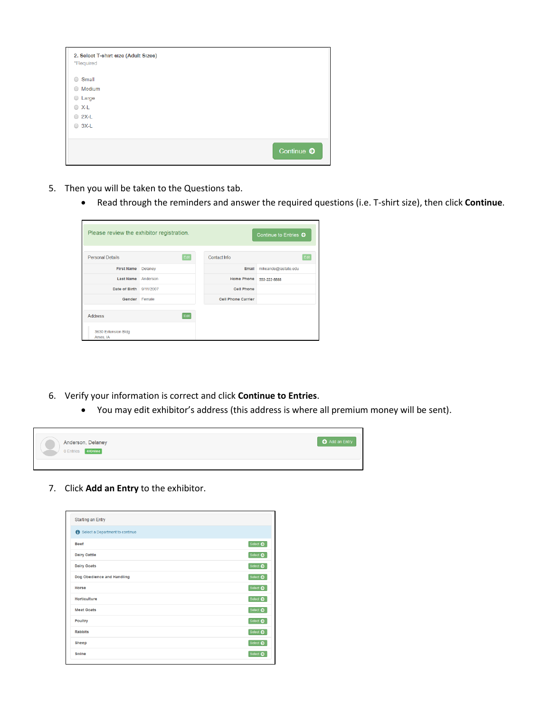| 2. Select T-shirt size (Adult Sizes)<br>*Required |                       |
|---------------------------------------------------|-----------------------|
| Small<br>$\bigcirc$                               |                       |
| Medium<br>$\bigcirc$                              |                       |
| $O$ Large                                         |                       |
| $\circ$ X-L                                       |                       |
| $\bigcirc$ 2X-L                                   |                       |
| $\bigcirc$ 3X-L                                   |                       |
|                                                   |                       |
|                                                   | Continue <sup>O</sup> |

- 5. Then you will be taken to the Questions tab.
	- Read through the reminders and answer the required questions (i.e. T-shirt size), then click **Continue**.

| Please review the exhibitor registration.         |          |                           | Continue to Entries O |
|---------------------------------------------------|----------|---------------------------|-----------------------|
| <b>Personal Details</b>                           | Edit     | Contact Info              | Edit                  |
| <b>First Name</b>                                 | Delaney  | Email                     | mikeande@iastate.edu  |
| <b>Last Name</b>                                  | Anderson | <b>Home Phone</b>         | 555-222-8888          |
| Date of Birth 9/11/2007                           |          | <b>Cell Phone</b>         |                       |
| Gender                                            | Female   | <b>Cell Phone Carrier</b> |                       |
| <b>Address</b><br>3630 Extension Bldg<br>Ames, IA | Edit     |                           |                       |

- 6. Verify your information is correct and click **Continue to Entries**.
	- You may edit exhibitor's address (this address is where all premium money will be sent).

| Anderson, Delaney<br>0 Entries 4HOnline | Add an Entry |
|-----------------------------------------|--------------|
|                                         |              |

7. Click **Add an Entry** to the exhibitor.

| <b>Starting an Entry</b>        |                   |
|---------------------------------|-------------------|
| Select a Department to continue |                   |
| <b>Beef</b>                     | Select ©          |
| <b>Dairy Cattle</b>             | Select $\bullet$  |
| <b>Dairy Goats</b>              | Select $\bullet$  |
| Dog Obedience and Handling      | Select $\bullet$  |
| Horse                           | Select $\bullet$  |
| Horticulture                    | Select $\bullet$  |
| <b>Meat Goats</b>               | Select $\bigcirc$ |
| Poultry                         | Select $\bullet$  |
| <b>Rabbits</b>                  | Select $\bullet$  |
| Sheep                           | Select $\bullet$  |
| Swine                           | Select $\bullet$  |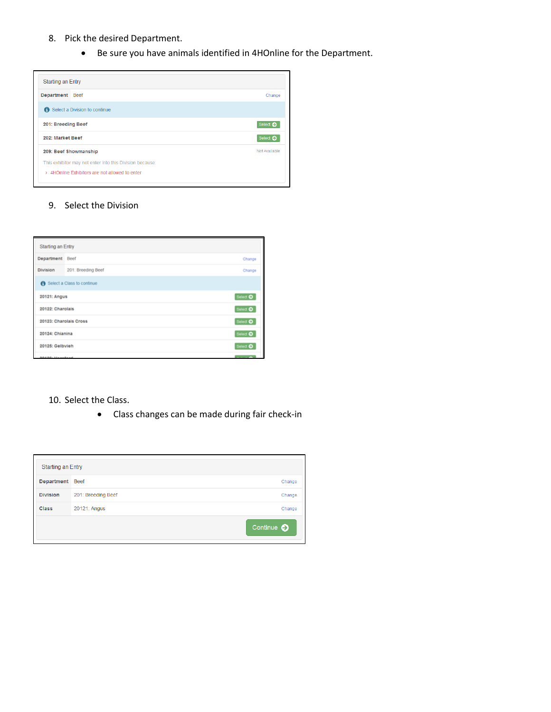### 8. Pick the desired Department.

• Be sure you have animals identified in 4HOnline for the Department.

| <b>Starting an Entry</b>                                 |                  |
|----------------------------------------------------------|------------------|
| Department Beef                                          | Change           |
| Select a Division to continue                            |                  |
| 201: Breeding Beef                                       | Select $\bullet$ |
| 202: Market Beef                                         | Select $\bullet$ |
| 209: Beef Showmanship                                    | Not Available    |
| This exhibitor may not enter into this Division because: |                  |
| > 4HOnline Exhibitors are not allowed to enter           |                  |

#### 9. Select the Division

| Starting an Entry      |                            |                 |
|------------------------|----------------------------|-----------------|
| Department Beef        |                            | Change          |
| Division               | 201: Breeding Beef         | Change          |
|                        | Select a Class to continue |                 |
| 20121: Angus           |                            | Select <b>O</b> |
| 20122: Charolais       |                            | Select O        |
| 20123: Charolais Cross |                            | Select O        |
| 20124: Chianina        |                            | Select O        |
| 20125: Gelbvieh        |                            | Select O        |
| GA4GO: Ungariazd       |                            |                 |

10. Select the Class.

• Class changes can be made during fair check-in

| <b>Starting an Entry</b> |                    |                   |
|--------------------------|--------------------|-------------------|
| Department               | <b>Beef</b>        | Change            |
| <b>Division</b>          | 201: Breeding Beef | Change            |
| <b>Class</b>             | 20121: Angus       | Change            |
|                          |                    | Continue <b>C</b> |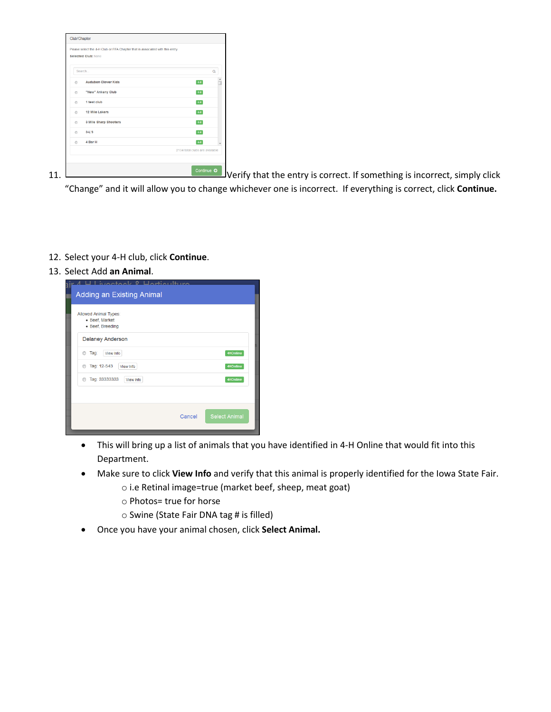|         | Selected Club: None        |                                         |
|---------|----------------------------|-----------------------------------------|
|         | Search                     | $\alpha$                                |
| $\odot$ | <b>Audubon Clover Kids</b> | $4-H$                                   |
| $\odot$ | "New" Ankeny Club          | $4-H$                                   |
| $\odot$ | 1 test club                | $4-H$                                   |
| $\circ$ | 12 Mile Lakers             | $4-H$                                   |
| $\circ$ | 3 Mile Sharp Shooters      | $4-H$                                   |
| $\odot$ | $3-L'S$                    | $4-H$                                   |
| $\circ$ | 4 Bar H                    | $4-H$<br>2134 total clubs are available |
|         |                            |                                         |

11. Verify that the entry is correct. If something is incorrect, simply click "Change" and it will allow you to change whichever one is incorrect. If everything is correct, click **Continue.**

- 12. Select your 4-H club, click **Continue**.
- 13. Select Add **an Animal**.

|        | 4HOnline                               |
|--------|----------------------------------------|
|        | 4HOnline                               |
|        | 4HOnline                               |
|        |                                        |
| Cancel | <b>Select Animal</b>                   |
|        | Adding an Existing Animal<br>View Info |

- This will bring up a list of animals that you have identified in 4-H Online that would fit into this Department.
- Make sure to click **View Info** and verify that this animal is properly identified for the Iowa State Fair.
	- o i.e Retinal image=true (market beef, sheep, meat goat)
	- o Photos= true for horse
	- o Swine (State Fair DNA tag # is filled)
- Once you have your animal chosen, click **Select Animal.**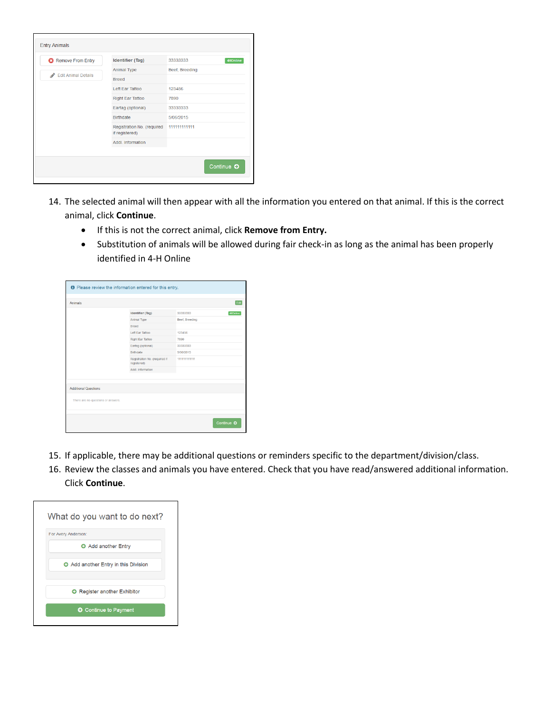| <b>3</b> Remove From Entry      | <b>Identifier (Tag)</b>                      | 33333333<br>4HOnline |
|---------------------------------|----------------------------------------------|----------------------|
|                                 | Animal Type                                  | Beef, Breeding       |
| <b>Edit Animal Details</b><br>◢ | <b>Breed</b>                                 |                      |
|                                 | Left Far Tattoo                              | 123456               |
|                                 | <b>Right Ear Tattoo</b>                      | 7890                 |
|                                 | Eartag (optional)                            | 33333333             |
|                                 | <b>Birthdate</b>                             | 5/06/2015            |
|                                 | Registration No. (required<br>if registered) | 111111111111         |
|                                 | Addl Information                             |                      |
|                                 |                                              |                      |

- 14. The selected animal will then appear with all the information you entered on that animal. If this is the correct animal, click **Continue**.
	- If this is not the correct animal, click **Remove from Entry.**
	- Substitution of animals will be allowed during fair check-in as long as the animal has been properly identified in 4-H Online

|                                    | <b>O</b> Please review the information entered for this entry. |                |                 |
|------------------------------------|----------------------------------------------------------------|----------------|-----------------|
| Animals                            |                                                                |                | Edit            |
|                                    | Identifier (Tag)                                               | 33333333       | <b>4HOnline</b> |
|                                    | Animal Type                                                    | Beef, Breeding |                 |
|                                    | Breed                                                          |                |                 |
|                                    | Left Far Tattoo                                                | 123456         |                 |
|                                    | Right Ear Tattoo                                               | 7890           |                 |
|                                    | Eartag (optional)                                              | 33333333       |                 |
|                                    | Birthdate                                                      | 5/06/2015      |                 |
|                                    | Registration No. (required if<br>registered)                   | 111111111111   |                 |
|                                    | Addl. Information                                              |                |                 |
|                                    |                                                                |                |                 |
|                                    |                                                                |                |                 |
| <b>Additional Questions</b>        |                                                                |                |                 |
|                                    |                                                                |                |                 |
| There are no questions or answers. |                                                                |                |                 |
|                                    |                                                                |                |                 |
|                                    |                                                                |                | Continue O      |

- 15. If applicable, there may be additional questions or reminders specific to the department/division/class.
- 16. Review the classes and animals you have entered. Check that you have read/answered additional information. Click **Continue**.

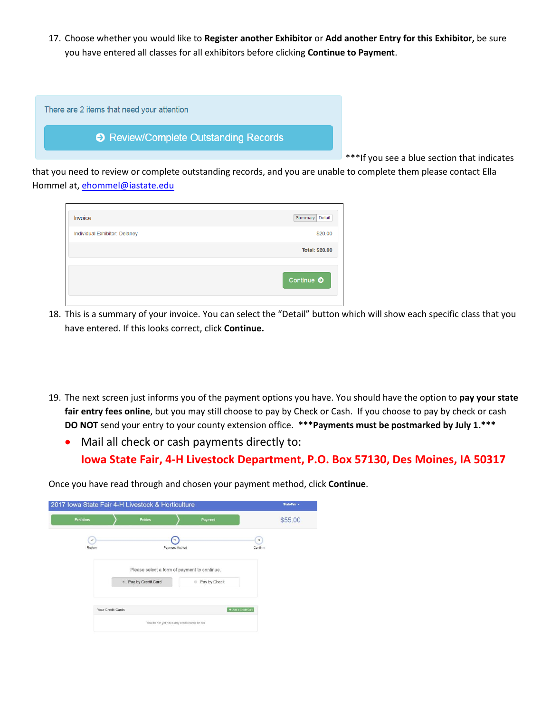17. Choose whether you would like to **Register another Exhibitor** or **Add another Entry for this Exhibitor,** be sure you have entered all classes for all exhibitors before clicking **Continue to Payment**.

| There are 2 items that need your attention |  |
|--------------------------------------------|--|
| ♦ Review/Complete Outstanding Records      |  |
|                                            |  |
|                                            |  |

\*\*\*If you see a blue section that indicates

that you need to review or complete outstanding records, and you are unable to complete them please contact Ella Hommel at, [ehommel@iastate.edu](mailto:ehommel@iastate.edu)

| Invoice                       | Summary<br>Detail |
|-------------------------------|-------------------|
| Individual Exhibitor: Delaney | \$20.00           |
|                               | Total: \$20.00    |
|                               | Continue O        |

- 18. This is a summary of your invoice. You can select the "Detail" button which will show each specific class that you have entered. If this looks correct, click **Continue.**
- 19. The next screen just informs you of the payment options you have. You should have the option to **pay your state fair entry fees online**, but you may still choose to pay by Check or Cash. If you choose to pay by check or cash **DO NOT** send your entry to your county extension office. **\*\*\*Payments must be postmarked by July 1.\*\*\***
	- Mail all check or cash payments directly to: **Iowa State Fair, 4-H Livestock Department, P.O. Box 57130, Des Moines, IA 50317**

Once you have read through and chosen your payment method, click **Continue**.

|                        |                   | 2017 Iowa State Fair 4-H Livestock & Horticulture |                              |                         | StateFair -  |
|------------------------|-------------------|---------------------------------------------------|------------------------------|-------------------------|--------------|
| <b>Exhibitors</b>      |                   | Entries                                           |                              | Payment                 | \$55.00      |
| $\checkmark$<br>Review |                   |                                                   | $\sqrt{2}$<br>Payment Method |                         | 3<br>Confirm |
|                        |                   | Please select a form of payment to continue.      |                              |                         |              |
|                        |                   | • Pay by Credit Card                              |                              | Pay by Check<br>$\odot$ |              |
|                        | Your Credit Cards |                                                   |                              | + Add a Credit Card     |              |
|                        |                   | You do not yet have any credit cards on file      |                              |                         |              |